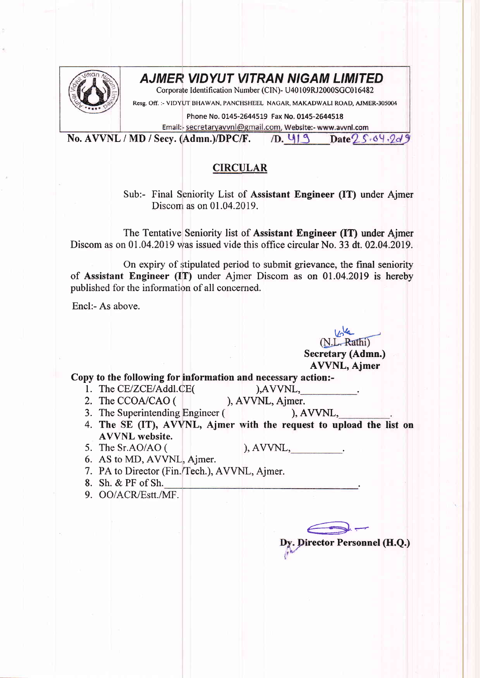

## AJMER VIDYUT VITRAN NIGAM LIMITED

Corporate Identification Number (CIN)- U40109RJ2000SGC016482

Resg. Off. :- VIDYUT BHAWAN, PANCHSHEEL NAGAR, MAKADWALI ROAD, AJMER-305004

Phone No. 0145-2644519 Fax No. 0145-2644518

Email:- secretaryavvnl@gmail.com, Website:- www.avvnl.com

No. AVVNL / MD / Secy. (Admn.)/DPC/F.  $/D. 413$   $Date25.64.2d9$ 

## **CIRCULAR**

Sub:- Final Seniority List of Assistant Engineer (IT) under Ajmer Discom as on  $01.04.2019$ .

The Tentative Seniority list of Assistant Engineer (IT) under Ajmer Discom as on 01.04.2019 was issued vide this office circular No. 33 dt. 02.04.2019.

On expiry of stipulated period to submit grievance, the final seniority of Assisrtant Engineer (IT) under Ajmer Discom as on 01.04.2019 is hereby published for the information of all concerned.

Encl:- As above.

(N.L. Rathi) Secretary (Admn.) AVVNL, Ajmer

Copy to the following for information and necessary action:-

1. The CE/ZCE/Addl.CE(

 $AVVNL$ , ), AVVNL, Ajmer.

2. The CCOA/CAO (

 $AVVNL$ ,

- 3. The Superintending Engineer (
- 4. The SE (IT), AVVNL, Ajmer with the request to upload the list on AVVNL website.
- 5. The Sr.AO/AO ( ), AVVNL,  $\qquad \qquad$
- 6. AS to MD, AVVNL, Ajmer.
- 7. PA to Director (Fin./Tech.), AVVNL, Ajmer.
- 8. Sh. & PF of Sh.
- 9. OO/ACR/Estt./MF.

Director Personnel (H.Q.)